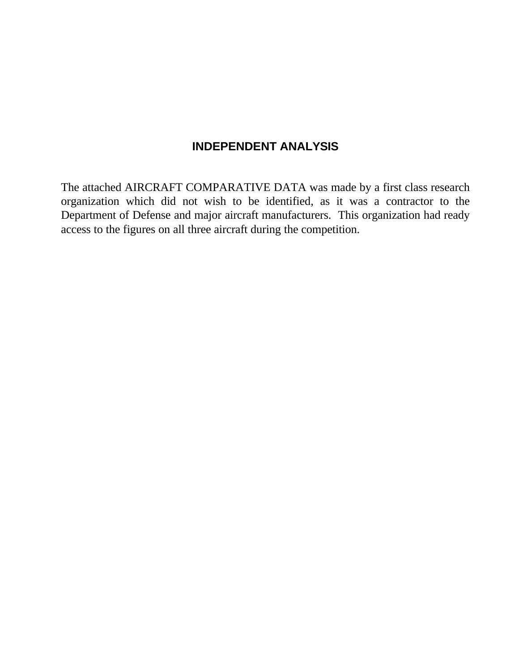## **INDEPENDENT ANALYSIS**

The attached AIRCRAFT COMPARATIVE DATA was made by a first class research organization which did not wish to be identified, as it was a contractor to the Department of Defense and major aircraft manufacturers. This organization had ready access to the figures on all three aircraft during the competition.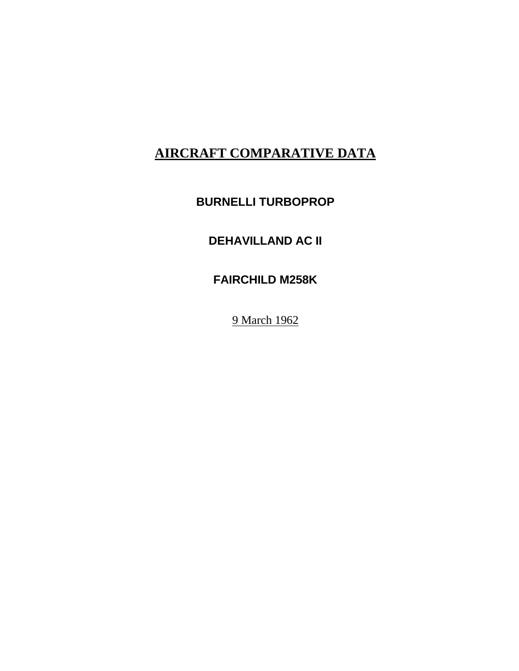# **BURNELLI TURBOPROP**

# **DEHAVILLAND AC II**

# **FAIRCHILD M258K**

9 March 1962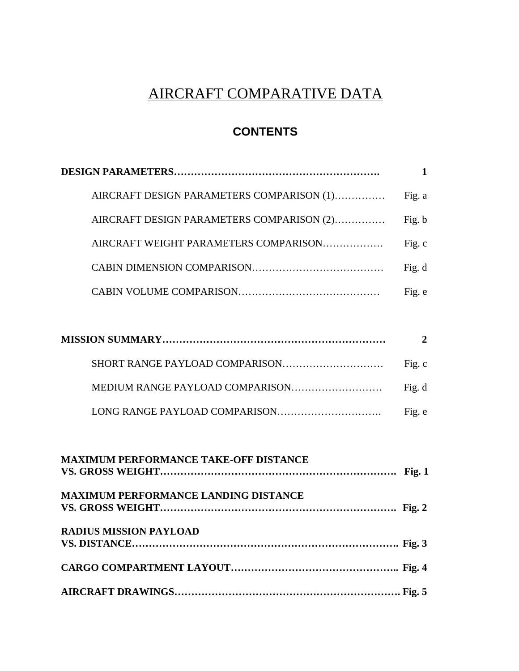## **CONTENTS**

| AIRCRAFT DESIGN PARAMETERS COMPARISON (1) | Fig. a |
|-------------------------------------------|--------|
| AIRCRAFT DESIGN PARAMETERS COMPARISON (2) | Fig. b |
| AIRCRAFT WEIGHT PARAMETERS COMPARISON     | Fig. c |
|                                           | Fig. d |
|                                           | Fig. e |

| Fig. c |
|--------|
| Fig. d |
| Fig. e |

| <b>MAXIMUM PERFORMANCE TAKE-OFF DISTANCE</b> |  |
|----------------------------------------------|--|
| <b>MAXIMUM PERFORMANCE LANDING DISTANCE</b>  |  |
| <b>RADIUS MISSION PAYLOAD</b>                |  |
|                                              |  |
|                                              |  |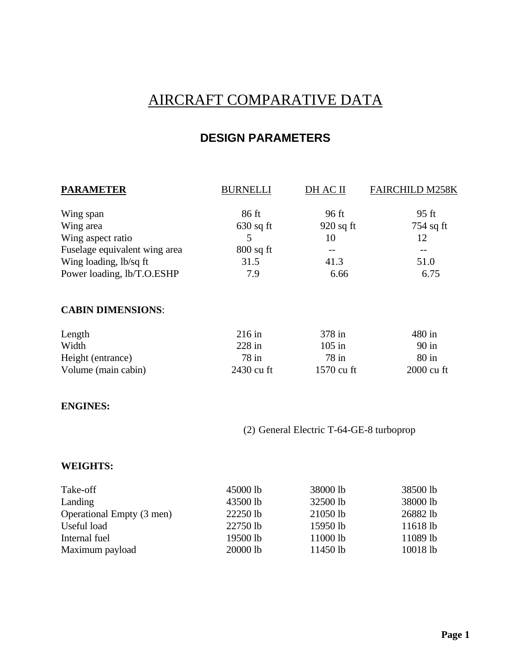## **DESIGN PARAMETERS**

| <b>PARAMETER</b>              | <b>BURNELLI</b> | DH AC II    | <b>FAIRCHILD M258K</b> |
|-------------------------------|-----------------|-------------|------------------------|
| Wing span                     | 86 ft           | 96 ft       | 95 ft                  |
| Wing area                     | $630$ sq ft     | $920$ sq ft | $754$ sq ft            |
| Wing aspect ratio             | 5               | 10          | 12                     |
| Fuselage equivalent wing area | $800$ sq ft     |             | --                     |
| Wing loading, lb/sq ft        | 31.5            | 41.3        | 51.0                   |
| Power loading, lb/T.O.ESHP    | 7.9             | 6.66        | 6.75                   |
| <b>CABIN DIMENSIONS:</b>      |                 |             |                        |
| Length                        | $216$ in        | 378 in      | 480 in                 |
| Width                         | $228$ in        | $105$ in    | $90$ in                |
| Height (entrance)             | $78$ in         | $78$ in     | $80$ in                |
| Volume (main cabin)           | 2430 cu ft      | 1570 cu ft  | 2000 cu ft             |
|                               |                 |             |                        |

#### **ENGINES:**

(2) General Electric T-64-GE-8 turboprop

#### **WEIGHTS:**

| Take-off                  | 45000 lb | 38000 lb | 38500 lb |
|---------------------------|----------|----------|----------|
| Landing                   | 43500 lb | 32500 lb | 38000 lb |
| Operational Empty (3 men) | 22250 lb | 21050 lb | 26882 lb |
| Useful load               | 22750 lb | 15950 lb | 11618 lb |
| Internal fuel             | 19500 lb | 11000 lb | 11089 lb |
| Maximum payload           | 20000 lb | 11450 lb | 10018 lb |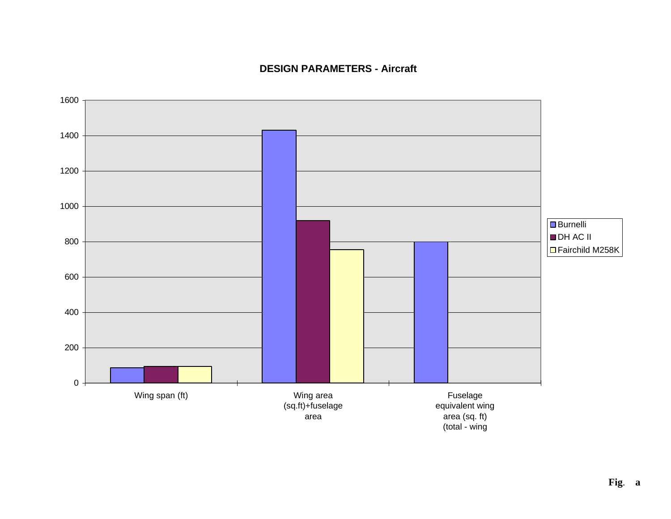### **DESIGN PARAMETERS - Aircraft**

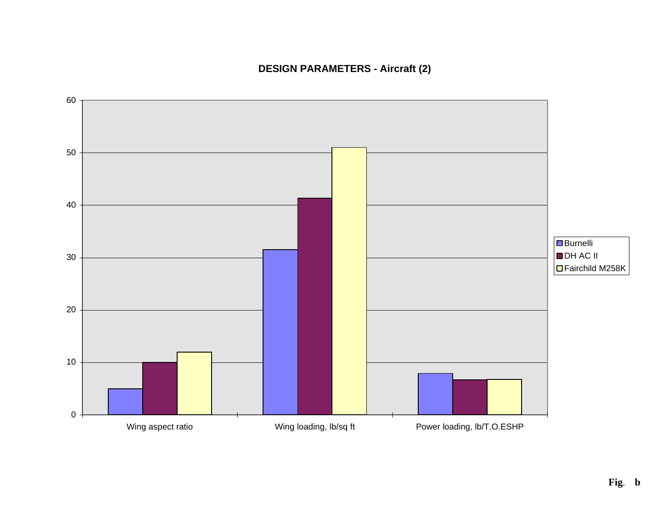

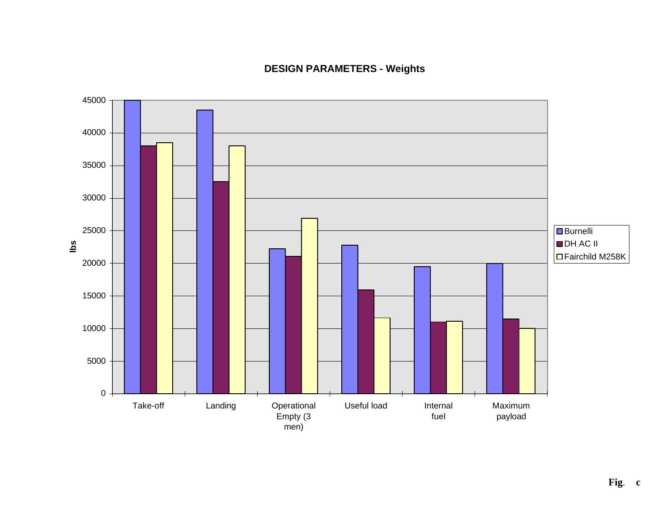### **DESIGN PARAMETERS - Weights**

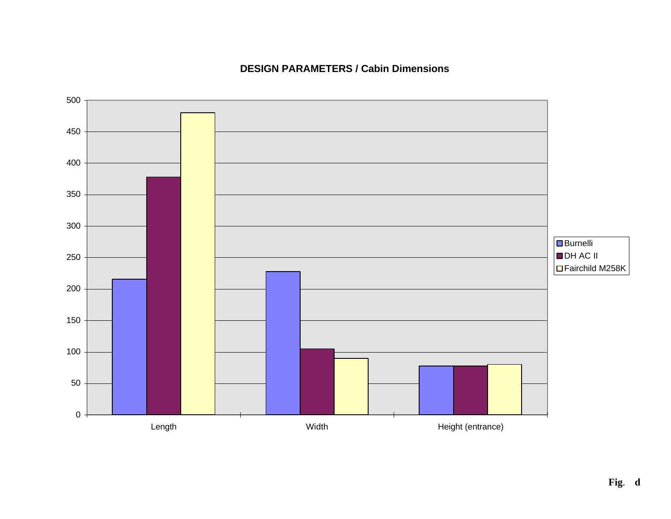### **DESIGN PARAMETERS / Cabin Dimensions**

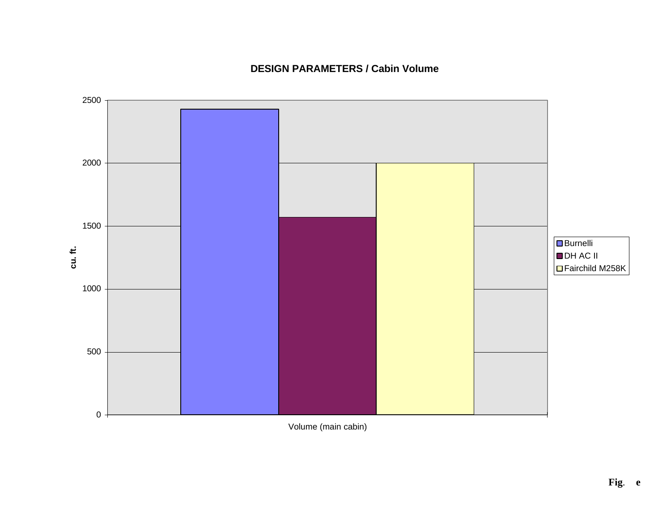

### **DESIGN PARAMETERS / Cabin Volume**

Volume (main cabin)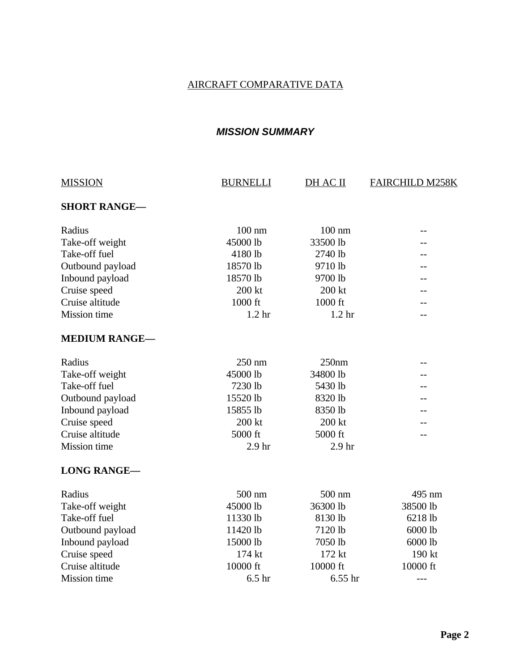### *MISSION SUMMARY*

| <b>MISSION</b>       | <b>BURNELLI</b>   | DH AC II          | <b>FAIRCHILD M258K</b> |
|----------------------|-------------------|-------------------|------------------------|
| <b>SHORT RANGE-</b>  |                   |                   |                        |
| Radius               | $100$ nm          | $100 \text{ nm}$  |                        |
| Take-off weight      | 45000 lb          | 33500 lb          |                        |
| Take-off fuel        | 4180 lb           | 2740 lb           |                        |
| Outbound payload     | 18570 lb          | 9710 lb           |                        |
| Inbound payload      | 18570 lb          | 9700 lb           |                        |
| Cruise speed         | 200 kt            | 200 kt            |                        |
| Cruise altitude      | 1000 ft           | 1000 ft           |                        |
| <b>Mission</b> time  | 1.2 <sub>hr</sub> | 1.2 <sub>hr</sub> | $-1$                   |
| <b>MEDIUM RANGE-</b> |                   |                   |                        |
| Radius               | 250 nm            | 250nm             | $-1$                   |
| Take-off weight      | 45000 lb          | 34800 lb          |                        |
| Take-off fuel        | 7230 lb           | 5430 lb           |                        |
| Outbound payload     | 15520 lb          | 8320 lb           |                        |
| Inbound payload      | 15855 lb          | 8350 lb           |                        |
| Cruise speed         | 200 kt            | 200 kt            |                        |
| Cruise altitude      | 5000 ft           | 5000 ft           |                        |
| <b>Mission</b> time  | 2.9 <sub>hr</sub> | 2.9 <sub>hr</sub> |                        |
| <b>LONG RANGE-</b>   |                   |                   |                        |
| Radius               | 500 nm            | 500 nm            | 495 nm                 |
| Take-off weight      | 45000 lb          | 36300 lb          | 38500 lb               |
| Take-off fuel        | 11330 lb          | 8130 lb           | 6218 lb                |
| Outbound payload     | 11420 lb          | 7120 lb           | 6000 lb                |
| Inbound payload      | 15000 lb          | 7050 lb           | 6000 lb                |
| Cruise speed         | 174 kt            | 172 kt            | 190 kt                 |
| Cruise altitude      | 10000 ft          | 10000 ft          | 10000 ft               |
| Mission time         | 6.5 <sub>hr</sub> | $6.55$ hr         |                        |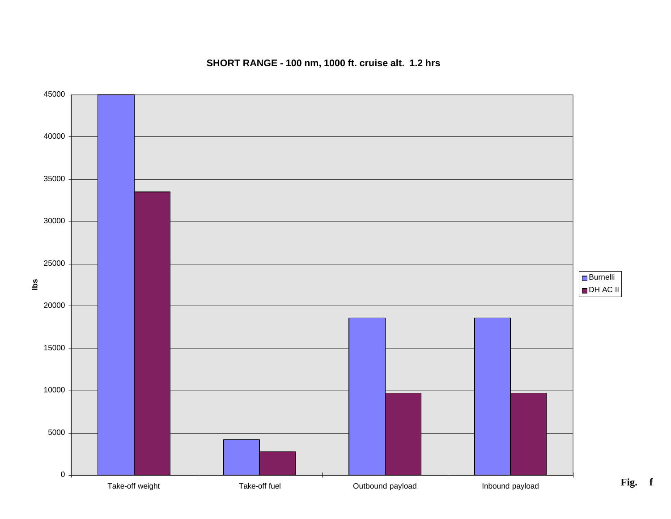

#### **SHORT RANGE - 100 nm, 1000 ft. cruise alt. 1.2 hrs**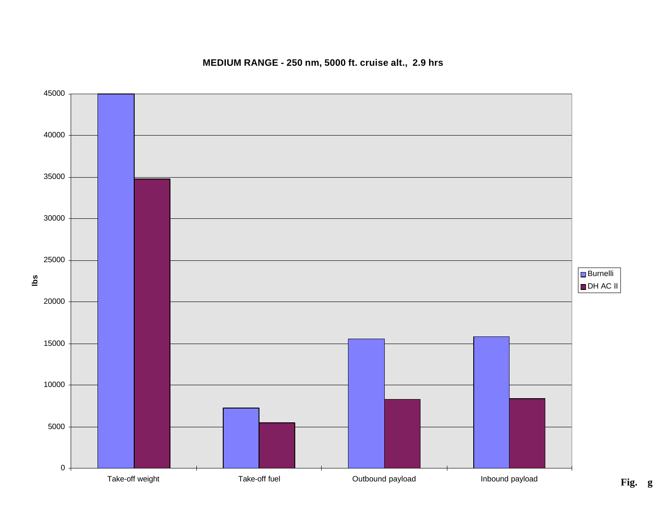

#### **MEDIUM RANGE - 250 nm, 5000 ft. cruise alt., 2.9 hrs**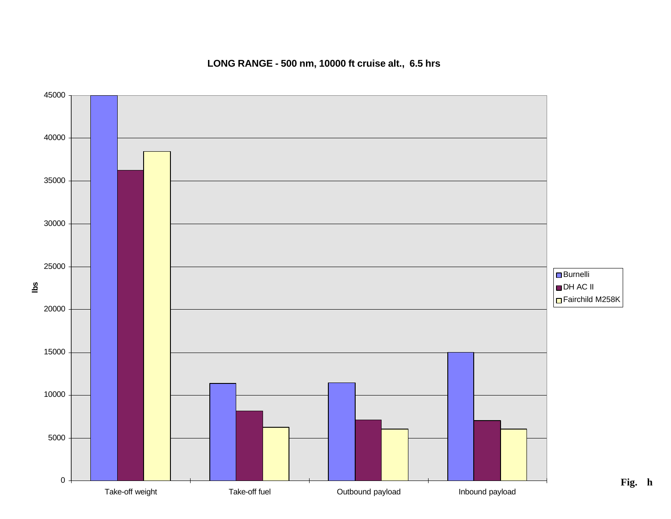

**LONG RANGE - 500 nm, 10000 ft cruise alt., 6.5 hrs**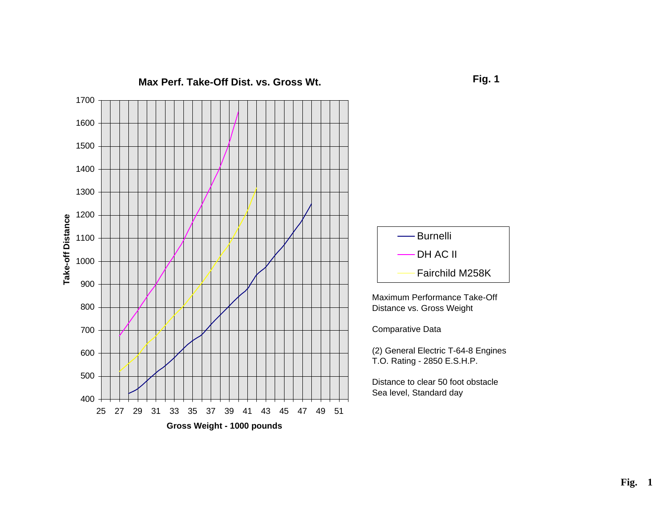



Maximum Performance Take-Off Distance vs. Gross Weight

Comparative Data

(2) General Electric T-64-8 Engines T.O. Rating - 2850 E.S.H.P.

Distance to clear 50 foot obstacle Sea level, Standard day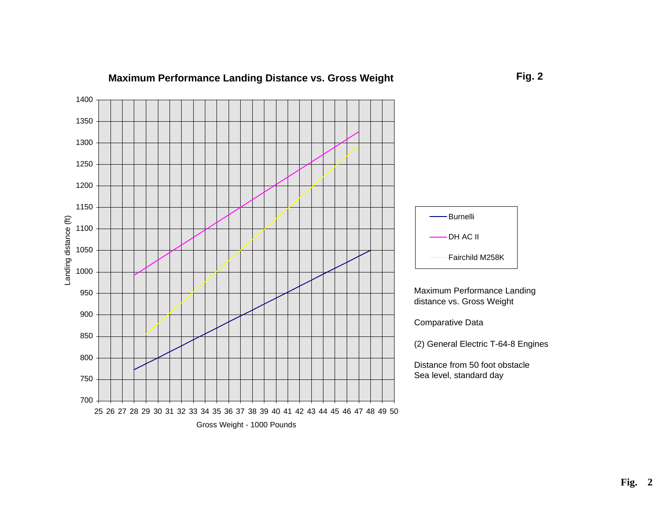

#### **Maximum Performance Landing Distance vs. Gross Weight**

**Fig. 2**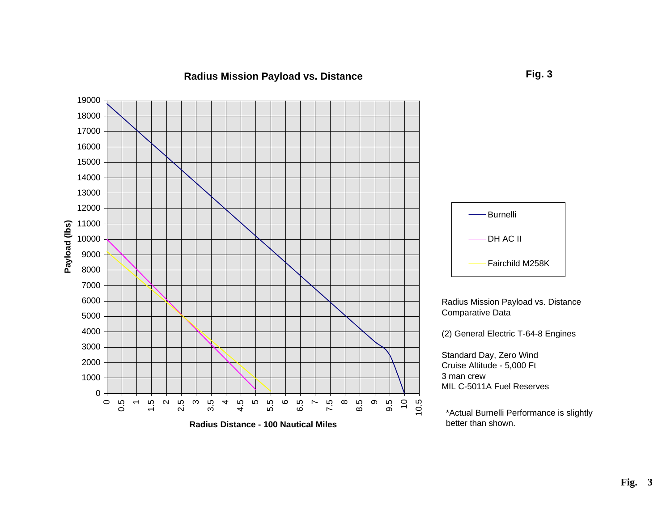#### **Radius Mission Payload vs. Distance**

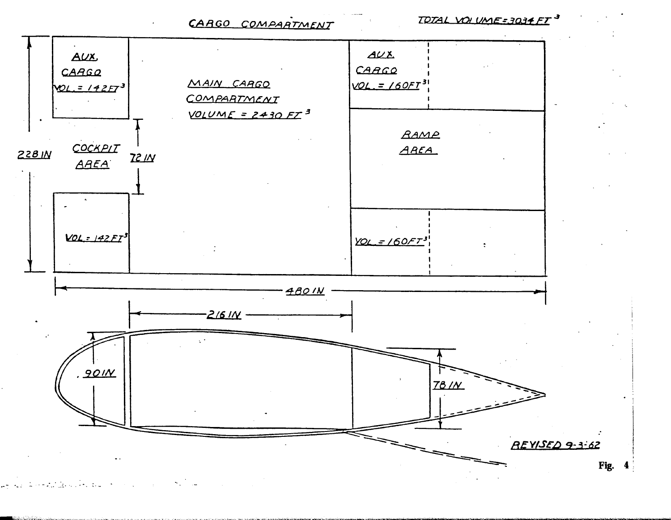